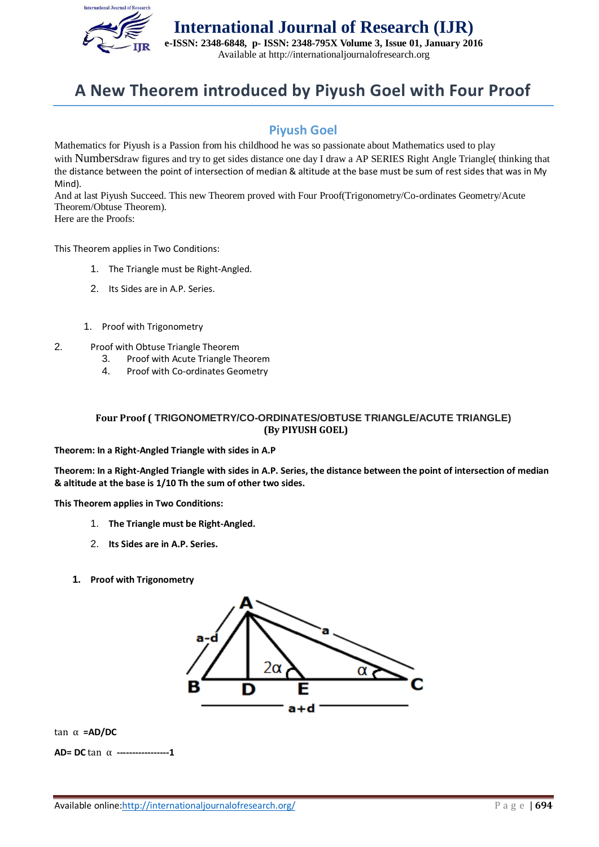

**International Journal of Research (IJR) e-ISSN: 2348-6848, p- ISSN: 2348-795X Volume 3, Issue 01, January 2016** Available at http://internationaljournalofresearch.org

## **A New Theorem introduced by Piyush Goel with Four Proof**

## **Piyush Goel**

Mathematics for Piyush is a Passion from his childhood he was so passionate about Mathematics used to play with Numbersdraw figures and try to get sides distance one day I draw a AP SERIES Right Angle Triangle( thinking that the distance between the point of intersection of median & altitude at the base must be sum of rest sides that was in My Mind).

And at last Piyush Succeed. This new Theorem proved with Four Proof(Trigonometry/Co-ordinates Geometry/Acute Theorem/Obtuse Theorem).

Here are the Proofs:

This Theorem applies in Two Conditions:

- 1. The Triangle must be Right-Angled.
- 2. Its Sides are in A.P. Series.
- 1. Proof with Trigonometry
- 2. Proof with Obtuse Triangle Theorem
	- 3. Proof with Acute Triangle Theorem
	- 4. Proof with Co-ordinates Geometry

## **Four Proof ( TRIGONOMETRY/CO-ORDINATES/OBTUSE TRIANGLE/ACUTE TRIANGLE) (By PIYUSH GOEL)**

**Theorem: In a Right-Angled Triangle with sides in A.P**

**Theorem: In a Right-Angled Triangle with sides in A.P. Series, the distance between the point of intersection of median & altitude at the base is 1/10 Th the sum of other two sides.**

**This Theorem applies in Two Conditions:**

- 1. **The Triangle must be Right-Angled.**
- 2. **Its Sides are in A.P. Series.**
- **1. Proof with Trigonometry**



tan α **=AD/DC**

**AD= DC** tan α **-----------------1**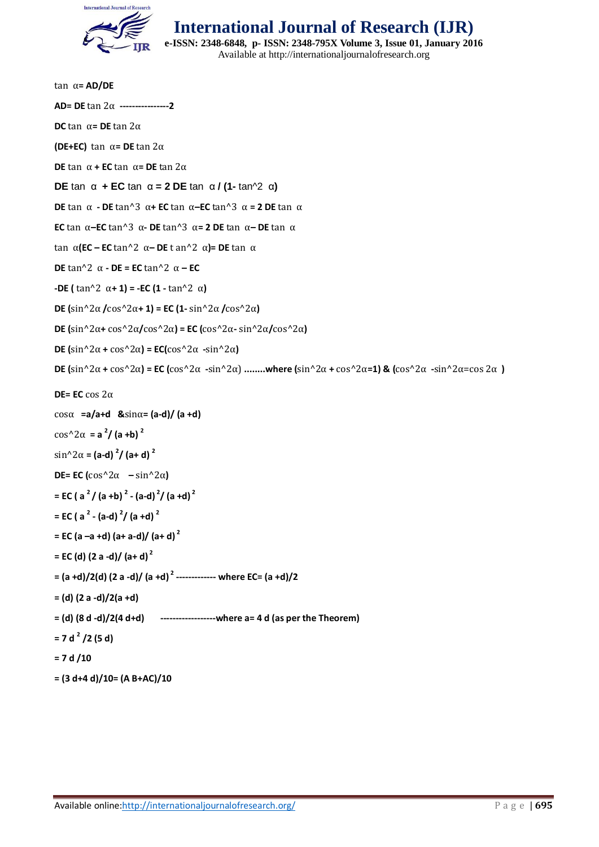

**International Journal of Research (IJR) e-ISSN: 2348-6848, p- ISSN: 2348-795X Volume 3, Issue 01, January 2016**

Available at http://internationaljournalofresearch.org

| $tan \ \alpha = AD/DE$                                                                                                                                                                                                                       |
|----------------------------------------------------------------------------------------------------------------------------------------------------------------------------------------------------------------------------------------------|
| AD= DE $\tan 2\alpha$ ----------------2                                                                                                                                                                                                      |
| <b>DC</b> tan $\alpha$ = <b>DE</b> tan $2\alpha$                                                                                                                                                                                             |
| (DE+EC) tan $\alpha$ = DE tan 2 $\alpha$                                                                                                                                                                                                     |
| <b>DE</b> tan $\alpha$ + <b>EC</b> tan $\alpha$ = <b>DE</b> tan $2\alpha$                                                                                                                                                                    |
| <b>DE</b> tan $\alpha$ + <b>EC</b> tan $\alpha$ = 2 <b>DE</b> tan $\alpha$ / (1- tan^2 $\alpha$ )                                                                                                                                            |
| <b>DE</b> tan $\alpha$ - <b>DE</b> tan^3 $\alpha$ + <b>EC</b> tan $\alpha$ - <b>EC</b> tan^3 $\alpha$ = <b>2 DE</b> tan $\alpha$                                                                                                             |
| <b>EC</b> tan $\alpha$ - <b>EC</b> tan^3 $\alpha$ - <b>DE</b> tan^3 $\alpha$ = <b>2 DE</b> tan $\alpha$ - <b>DE</b> tan $\alpha$                                                                                                             |
| tan α(EC – EC tan^2 α– DE t an^2 α)= DE tan α                                                                                                                                                                                                |
| <b>DE</b> tan^2 $\alpha$ - <b>DE</b> = <b>EC</b> tan^2 $\alpha$ – <b>EC</b>                                                                                                                                                                  |
| -DE (tan^2 α+ 1) = -EC (1 - tan^2 α)                                                                                                                                                                                                         |
| DE $(\sin^2 2\alpha / \cos^2 2\alpha + 1)$ = EC $(1 - \sin^2 2\alpha / \cos^2 2\alpha)$                                                                                                                                                      |
| <b>DE</b> $\left(\sin^2 2\alpha + \cos^2 2\alpha / \cos^2 2\alpha\right)$ = <b>EC</b> $\left(\cos^2 2\alpha - \sin^2 2\alpha / \cos^2 2\alpha\right)$                                                                                        |
| <b>DE</b> $(\sin^2 2\alpha + \cos^2 2\alpha) = EC(\cos^2 2\alpha - \sin^2 2\alpha)$                                                                                                                                                          |
| <b>DE</b> $\left(\sin^2 2\alpha + \cos^2 2\alpha\right)$ = <b>EC</b> $\left(\cos^2 2\alpha - \sin^2 2\alpha\right)$ where $\left(\sin^2 2\alpha + \cos^2 2\alpha - 1\right)$ & $\left(\cos^2 2\alpha - \sin^2 2\alpha - \cos 2\alpha\right)$ |
|                                                                                                                                                                                                                                              |
| DE= EC cos $2\alpha$                                                                                                                                                                                                                         |
| $cos\alpha$ = a/a+d & sin $\alpha$ = (a-d)/ (a +d)                                                                                                                                                                                           |
| $\cos^2 2\alpha = a^2/(a+b)^2$                                                                                                                                                                                                               |
| $\sin^2 2\alpha = (a-d)^2/(a+d)^2$                                                                                                                                                                                                           |
| <b>DE= EC</b> ( $\cos^2 2\alpha$ - $\sin^2 2\alpha$ )                                                                                                                                                                                        |
| = EC ( $a^2/$ (a +b) <sup>2</sup> - (a-d) <sup>2</sup> / (a +d) <sup>2</sup>                                                                                                                                                                 |
| $=$ EC ( a <sup>2</sup> - (a-d) <sup>2</sup> / (a +d) <sup>2</sup>                                                                                                                                                                           |
| = EC (a -a +d) (a+ a-d)/ (a+ d) <sup>2</sup>                                                                                                                                                                                                 |
| = EC (d) $(2 a - d) / (a + d)^2$                                                                                                                                                                                                             |
| = (a +d)/2(d) (2 a -d)/ (a +d) <sup>2</sup> ------------- where EC= (a +d)/2                                                                                                                                                                 |
| $= (d) (2 a - d)/2(a + d)$                                                                                                                                                                                                                   |
| $=$ (d) $(8 d - d)/2(4 d+d)$ --------------------where a= 4 d (as per the Theorem)                                                                                                                                                           |
| $= 7 d2/2 (5 d)$                                                                                                                                                                                                                             |
| $= 7 d / 10$                                                                                                                                                                                                                                 |
| $= (3 d+4 d)/10 = (A B+AC)/10$                                                                                                                                                                                                               |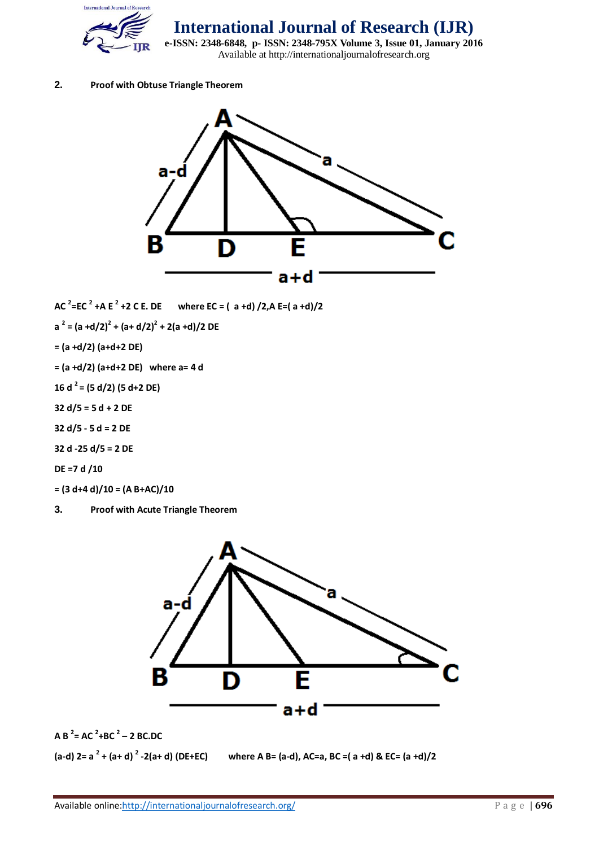

**International Journal of Research (IJR)**

**e-ISSN: 2348-6848, p- ISSN: 2348-795X Volume 3, Issue 01, January 2016** Available at http://internationaljournalofresearch.org

## **2. Proof with Obtuse Triangle Theorem**



**AC <sup>2</sup> =EC <sup>2</sup> +A E <sup>2</sup> +2 C E. DE where EC = ( a +d) /2,A E=( a +d)/2**

**a 2 = (a +d/2)<sup>2</sup> + (a+ d/2)<sup>2</sup> + 2(a +d)/2 DE**

**= (a +d/2) (a+d+2 DE)**

**= (a +d/2) (a+d+2 DE) where a= 4 d**

**16 d <sup>2</sup>= (5 d/2) (5 d+2 DE)**

**32 d/5 = 5 d + 2 DE**

**32 d/5 - 5 d = 2 DE**

**32 d -25 d/5 = 2 DE**

**DE =7 d /10**

**= (3 d+4 d)/10 = (A B+AC)/10**

**3. Proof with Acute Triangle Theorem**



**A B <sup>2</sup> = AC <sup>2</sup> +BC <sup>2</sup> – 2 BC.DC**

**(a-d) 2= a <sup>2</sup> + (a+ d) <sup>2</sup>**

**where A B= (a-d), AC=a, BC =( a +d) & EC= (a +d)/2**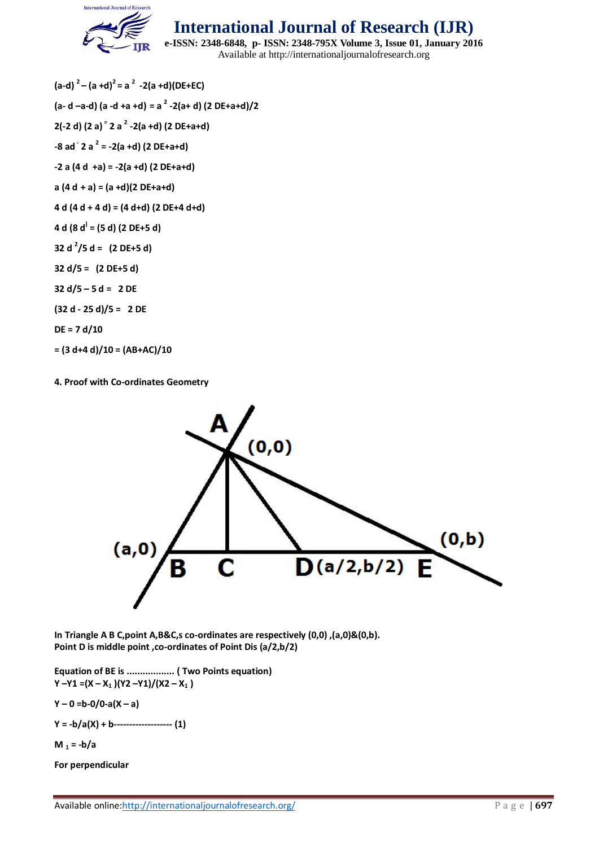

**International Journal of Research (IJR)**

**e-ISSN: 2348-6848, p- ISSN: 2348-795X Volume 3, Issue 01, January 2016** Available at http://internationaljournalofresearch.org

**(a-d) <sup>2</sup> – (a +d)<sup>2</sup> = a 2 -2(a +d)(DE+EC) (a- d –a-d) (a -d +a +d) = a 2 -2(a+ d) (2 DE+a+d)/2 2(-2 d) (2 a) <sup>=</sup> 2 a <sup>2</sup> -2(a +d) (2 DE+a+d) -8 ad - 2 a <sup>2</sup> = -2(a +d) (2 DE+a+d) -2 a (4 d +a) = -2(a +d) (2 DE+a+d) a (4 d + a) = (a +d)(2 DE+a+d) 4 d (4 d + 4 d) = (4 d+d) (2 DE+4 d+d) 4 d (8 d) = (5 d) (2 DE+5 d) 32 d <sup>2</sup> /5 d = (2 DE+5 d) 32 d/5 = (2 DE+5 d) 32 d/5 – 5 d = 2 DE (32 d - 25 d)/5 = 2 DE DE = 7 d/10 = (3 d+4 d)/10 = (AB+AC)/10**

**4. Proof with Co-ordinates Geometry**



**In Triangle A B C,point A,B&C,s co-ordinates are respectively (0,0) ,(a,0)&(0,b). Point D is middle point ,co-ordinates of Point Dis (a/2,b/2)**

**Equation of BE is .................. ( Two Points equation) Y –Y1 =(X – X<sup>1</sup> )(Y2 –Y1)/(X2 – X<sup>1</sup> )**

**Y – 0 =b-0/0-a(X – a)**

**Y = -b/a(X) + b------------------- (1)**

**M**  $_1 = -b/a$ 

**For perpendicular**